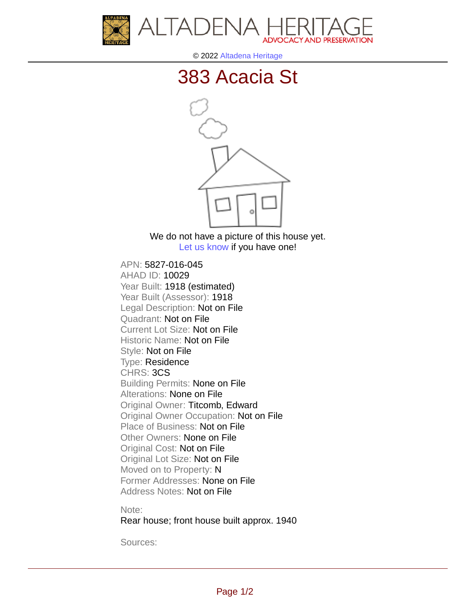



© 2022 [Altadena Heritage](http://altadenaheritage.org/)

## [383 Acacia St](ahad.altadenaheritagepdb.org/properties/10029)



We do not have a picture of this house yet. [Let us know](http://altadenaheritage.org/contact-us/) if you have one!

APN: 5827-016-045 [AHAD ID: 10029](ahad.altadenaheritagepdb.org/properties/10029) Year Built: 1918 (estimated) Year Built (Assessor): 1918 Legal Description: Not on File Quadrant: Not on File Current Lot Size: Not on File Historic Name: Not on File Style: Not on File Type: Residence CHRS: 3CS Building Permits: None on File Alterations: None on File Original Owner: Titcomb, Edward Original Owner Occupation: Not on File Place of Business: Not on File Other Owners: None on File Original Cost: Not on File Original Lot Size: Not on File Moved on to Property: N Former Addresses: None on File Address Notes: Not on File

Note:

Rear house; front house built approx. 1940

Sources: